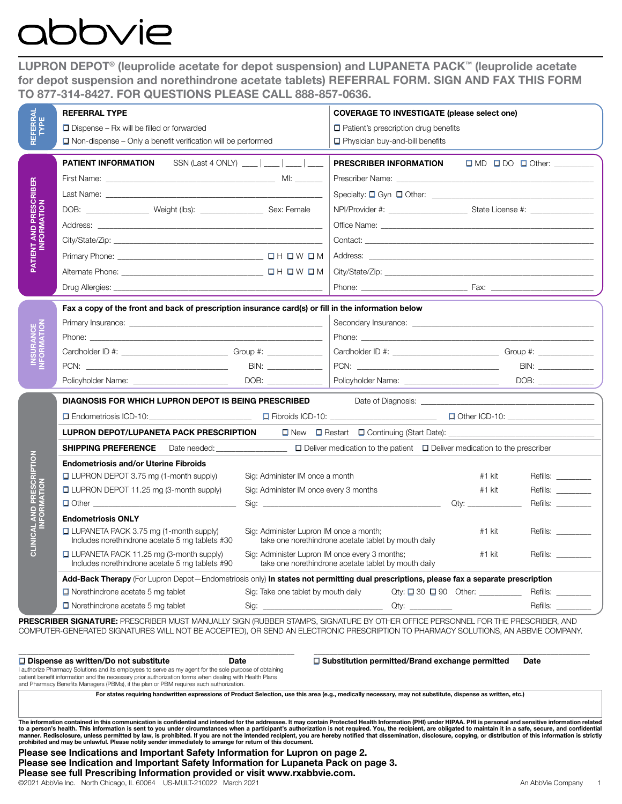# obvie

LUPRON DEPOT® (leuprolide acetate for depot suspension) and LUPANETA PACK™ (leuprolide acetate for depot suspension and norethindrone acetate tablets) REFERRAL FORM. SIGN AND FAX THIS FORM TO 877-314-8427. FOR QUESTIONS PLEASE CALL 888-857-0636.

| REFERRAL<br>TYPE                                   | <b>REFERRAL TYPE</b><br>$\Box$ Dispense – Rx will be filled or forwarded                                                                                                                                                                                                                                                                                                                                                                                                                                                                                                                                                                                                                                                                                                                                      |                                                                           | <b>COVERAGE TO INVESTIGATE (please select one)</b><br>$\Box$ Patient's prescription drug benefits                                |                               |                                                                                            |  |
|----------------------------------------------------|---------------------------------------------------------------------------------------------------------------------------------------------------------------------------------------------------------------------------------------------------------------------------------------------------------------------------------------------------------------------------------------------------------------------------------------------------------------------------------------------------------------------------------------------------------------------------------------------------------------------------------------------------------------------------------------------------------------------------------------------------------------------------------------------------------------|---------------------------------------------------------------------------|----------------------------------------------------------------------------------------------------------------------------------|-------------------------------|--------------------------------------------------------------------------------------------|--|
|                                                    | $\Box$ Non-dispense – Only a benefit verification will be performed                                                                                                                                                                                                                                                                                                                                                                                                                                                                                                                                                                                                                                                                                                                                           |                                                                           | $\Box$ Physician buy-and-bill benefits                                                                                           |                               |                                                                                            |  |
| PATIENT AND PRESCRIBER<br><b>INFORMATION</b>       | PATIENT INFORMATION                                                                                                                                                                                                                                                                                                                                                                                                                                                                                                                                                                                                                                                                                                                                                                                           | SSN (Last 4 ONLY) ___   ___   ___   ___                                   | PRESCRIBER INFORMATION                                                                                                           |                               | $\Box \text{ MD} \quad \Box \text{ DO} \quad \Box \text{ Other:} \underline{\hspace{2cm}}$ |  |
|                                                    | DOB: ____________________ Weight (lbs): ________________________ Sex: Female                                                                                                                                                                                                                                                                                                                                                                                                                                                                                                                                                                                                                                                                                                                                  |                                                                           |                                                                                                                                  |                               |                                                                                            |  |
|                                                    |                                                                                                                                                                                                                                                                                                                                                                                                                                                                                                                                                                                                                                                                                                                                                                                                               |                                                                           |                                                                                                                                  |                               |                                                                                            |  |
|                                                    |                                                                                                                                                                                                                                                                                                                                                                                                                                                                                                                                                                                                                                                                                                                                                                                                               |                                                                           |                                                                                                                                  |                               |                                                                                            |  |
|                                                    | Fax a copy of the front and back of prescription insurance card(s) or fill in the information below<br>Phone: <u>the contract of the contract of the contract of the contract of the contract of the contract of the contract of the contract of the contract of the contract of the contract of the contract of the contract of the co</u><br>Policyholder Name: _________________________                                                                                                                                                                                                                                                                                                                                                                                                                   |                                                                           | Cardholder ID #: __________________________________Group #: ____________________<br>Policyholder Name: _________________________ |                               | DOB: $\qquad \qquad$                                                                       |  |
|                                                    | <b>DIAGNOSIS FOR WHICH LUPRON DEPOT IS BEING PRESCRIBED</b><br>LUPRON DEPOT/LUPANETA PACK PRESCRIPTION                                                                                                                                                                                                                                                                                                                                                                                                                                                                                                                                                                                                                                                                                                        |                                                                           |                                                                                                                                  |                               |                                                                                            |  |
| PTION<br>ESCRII<br><b>MOLIV</b><br><b>CLINICAL</b> |                                                                                                                                                                                                                                                                                                                                                                                                                                                                                                                                                                                                                                                                                                                                                                                                               |                                                                           |                                                                                                                                  |                               |                                                                                            |  |
|                                                    | <b>Endometriosis and/or Uterine Fibroids</b><br>□ LUPRON DEPOT 3.75 mg (1-month supply)<br>□ LUPRON DEPOT 11.25 mg (3-month supply)                                                                                                                                                                                                                                                                                                                                                                                                                                                                                                                                                                                                                                                                           | Sig: Administer IM once a month<br>Sig: Administer IM once every 3 months |                                                                                                                                  | #1 kit<br>#1 kit              | Refills:<br>Refills: ________<br>Refills:                                                  |  |
|                                                    | <b>Endometriosis ONLY</b><br>□ LUPANETA PACK 3.75 mg (1-month supply)<br>Includes norethindrone acetate 5 mg tablets #30                                                                                                                                                                                                                                                                                                                                                                                                                                                                                                                                                                                                                                                                                      | Sig: Administer Lupron IM once a month;                                   | take one norethindrone acetate tablet by mouth daily                                                                             | #1 kit                        | Refills: ________                                                                          |  |
|                                                    | $\Box$ LUPANETA PACK 11.25 mg (3-month supply)<br>Includes norethindrone acetate 5 mg tablets #90                                                                                                                                                                                                                                                                                                                                                                                                                                                                                                                                                                                                                                                                                                             | Sig: Administer Lupron IM once every 3 months;                            | take one norethindrone acetate tablet by mouth daily                                                                             | #1 kit                        | Refills:                                                                                   |  |
|                                                    | Add-Back Therapy (For Lupron Depot-Endometriosis only) In states not permitting dual prescriptions, please fax a separate prescription<br>$\Box$ Norethindrone acetate 5 mg tablet<br>$\Box$ Norethindrone acetate 5 mg tablet                                                                                                                                                                                                                                                                                                                                                                                                                                                                                                                                                                                | Sig: Take one tablet by mouth daily                                       |                                                                                                                                  | $Qty: \Box 30 \Box 90$ Other: | Refills:<br>Refills:                                                                       |  |
|                                                    | PRESCRIBER SIGNATURE: PRESCRIBER MUST MANUALLY SIGN (RUBBER STAMPS, SIGNATURE BY OTHER OFFICE PERSONNEL FOR THE PRESCRIBER, AND<br>COMPUTER-GENERATED SIGNATURES WILL NOT BE ACCEPTED), OR SEND AN ELECTRONIC PRESCRIPTION TO PHARMACY SOLUTIONS, AN ABBVIE COMPANY.                                                                                                                                                                                                                                                                                                                                                                                                                                                                                                                                          |                                                                           |                                                                                                                                  |                               |                                                                                            |  |
|                                                    | $\square$ Dispense as written/Do not substitute<br>Date<br>authorize Pharmacy Solutions and its employees to serve as my agent for the sole purpose of obtaining<br>patient benefit information and the necessary prior authorization forms when dealing with Health Plans<br>and Pharmacy Benefits Managers (PBMs), if the plan or PBM requires such authorization.                                                                                                                                                                                                                                                                                                                                                                                                                                          |                                                                           | $\Box$ Substitution permitted/Brand exchange permitted                                                                           |                               | <b>Date</b>                                                                                |  |
|                                                    | For states requiring handwritten expressions of Product Selection, use this area (e.g., medically necessary, may not substitute, dispense as written, etc.)<br>The information contained in this communication is confidential and intended for the addressee. It may contain Protected Health Information (PHI) under HIPAA. PHI is personal and sensitive information relate                                                                                                                                                                                                                                                                                                                                                                                                                                |                                                                           |                                                                                                                                  |                               |                                                                                            |  |
|                                                    | to a person's health. This information is sent to you under circumstances when a participant's authorization is not required. You, the recipient, are obligated to maintain it in a safe, secure, and confidentia<br>manner. Redisclosure, unless permitted by law, is prohibited. If you are not the intended recipient, you are hereby notified that dissemination, disclosure, copying, or distribution of this information is strictly<br>prohibited and may be unlawful. Please notify sender immediately to arrange for return of this document.<br>Please see Indications and Important Safety Information for Lupron on page 2.<br>Please see Indication and Important Safety Information for Lupaneta Pack on page 3.<br>Please see full Prescribing Information provided or visit www.rxabbvie.com. |                                                                           |                                                                                                                                  |                               |                                                                                            |  |

| $\Box$ Dispense as written/Do not substitute                                                            | Date | $\Box$ Substitution permitted/Brand exchange permitted | Date |  |  |
|---------------------------------------------------------------------------------------------------------|------|--------------------------------------------------------|------|--|--|
| I authorize Pharmacy Solutions and its employees to serve as my agent for the sole purpose of obtaining |      |                                                        |      |  |  |
| patient benefit information and the necessary prior authorization forms when dealing with Health Plans  |      |                                                        |      |  |  |
| and Pharmacy Benefits Managers (PBMs), if the plan or PBM requires such authorization.                  |      |                                                        |      |  |  |

Please see Indications and Important Safety Information for Lupron on page 2. Please see Indication and Important Safety Information for Lupaneta Pack on page 3.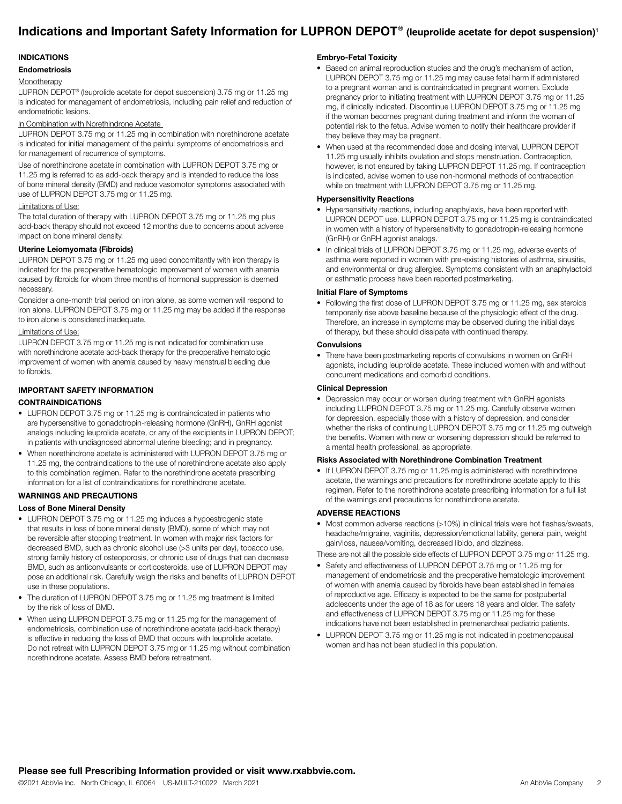# **Indications and Important Safety Information for LUPRON DEPOT®** (leuprolide acetate for depot suspension)<sup>1</sup>

### INDICATIONS

### Endometriosis

#### **Monotherapy**

LUPRON DEPOT® (leuprolide acetate for depot suspension) 3.75 mg or 11.25 mg is indicated for management of endometriosis, including pain relief and reduction of endometriotic lesions.

#### In Combination with Norethindrone Acetate

LUPRON DEPOT 3.75 mg or 11.25 mg in combination with norethindrone acetate is indicated for initial management of the painful symptoms of endometriosis and for management of recurrence of symptoms.

Use of norethindrone acetate in combination with LUPRON DEPOT 3.75 mg or 11.25 mg is referred to as add-back therapy and is intended to reduce the loss of bone mineral density (BMD) and reduce vasomotor symptoms associated with use of LUPRON DEPOT 3.75 mg or 11.25 mg.

#### Limitations of Use:

The total duration of therapy with LUPRON DEPOT 3.75 mg or 11.25 mg plus add-back therapy should not exceed 12 months due to concerns about adverse impact on bone mineral density.

#### Uterine Leiomyomata (Fibroids)

LUPRON DEPOT 3.75 mg or 11.25 mg used concomitantly with iron therapy is indicated for the preoperative hematologic improvement of women with anemia caused by fibroids for whom three months of hormonal suppression is deemed necessary.

Consider a one-month trial period on iron alone, as some women will respond to iron alone. LUPRON DEPOT 3.75 mg or 11.25 mg may be added if the response to iron alone is considered inadequate.

#### Limitations of Use:

LUPRON DEPOT 3.75 mg or 11.25 mg is not indicated for combination use with norethindrone acetate add-back therapy for the preoperative hematologic improvement of women with anemia caused by heavy menstrual bleeding due to fibroids.

# IMPORTANT SAFETY INFORMATION

# CONTRAINDICATIONS

- LUPRON DEPOT 3.75 mg or 11.25 mg is contraindicated in patients who are hypersensitive to gonadotropin-releasing hormone (GnRH), GnRH agonist analogs including leuprolide acetate, or any of the excipients in LUPRON DEPOT; in patients with undiagnosed abnormal uterine bleeding; and in pregnancy.
- When norethindrone acetate is administered with LUPRON DEPOT 3.75 mg or 11.25 mg, the contraindications to the use of norethindrone acetate also apply to this combination regimen. Refer to the norethindrone acetate prescribing information for a list of contraindications for norethindrone acetate.

# WARNINGS AND PRECAUTIONS

#### Loss of Bone Mineral Density

- LUPRON DEPOT 3.75 mg or 11.25 mg induces a hypoestrogenic state that results in loss of bone mineral density (BMD), some of which may not be reversible after stopping treatment. In women with major risk factors for decreased BMD, such as chronic alcohol use (>3 units per day), tobacco use, strong family history of osteoporosis, or chronic use of drugs that can decrease BMD, such as anticonvulsants or corticosteroids, use of LUPRON DEPOT may pose an additional risk. Carefully weigh the risks and benefits of LUPRON DEPOT use in these populations.
- The duration of LUPRON DEPOT 3.75 mg or 11.25 mg treatment is limited by the risk of loss of BMD.
- When using LUPRON DEPOT 3.75 mg or 11.25 mg for the management of endometriosis, combination use of norethindrone acetate (add-back therapy) is effective in reducing the loss of BMD that occurs with leuprolide acetate. Do not retreat with LUPRON DEPOT 3.75 mg or 11.25 mg without combination norethindrone acetate. Assess BMD before retreatment.

#### Embryo-Fetal Toxicity

- Based on animal reproduction studies and the drug's mechanism of action, LUPRON DEPOT 3.75 mg or 11.25 mg may cause fetal harm if administered to a pregnant woman and is contraindicated in pregnant women. Exclude pregnancy prior to initiating treatment with LUPRON DEPOT 3.75 mg or 11.25 mg, if clinically indicated. Discontinue LUPRON DEPOT 3.75 mg or 11.25 mg if the woman becomes pregnant during treatment and inform the woman of potential risk to the fetus. Advise women to notify their healthcare provider if they believe they may be pregnant.
- When used at the recommended dose and dosing interval, LUPRON DEPOT 11.25 mg usually inhibits ovulation and stops menstruation. Contraception, however, is not ensured by taking LUPRON DEPOT 11.25 mg. If contraception is indicated, advise women to use non-hormonal methods of contraception while on treatment with LUPRON DEPOT 3.75 mg or 11.25 mg.

# Hypersensitivity Reactions

- Hypersensitivity reactions, including anaphylaxis, have been reported with LUPRON DEPOT use. LUPRON DEPOT 3.75 mg or 11.25 mg is contraindicated in women with a history of hypersensitivity to gonadotropin-releasing hormone (GnRH) or GnRH agonist analogs.
- In clinical trials of LUPRON DEPOT 3.75 mg or 11.25 mg, adverse events of asthma were reported in women with pre-existing histories of asthma, sinusitis, and environmental or drug allergies. Symptoms consistent with an anaphylactoid or asthmatic process have been reported postmarketing.

#### Initial Flare of Symptoms

• Following the first dose of LUPRON DEPOT 3.75 mg or 11.25 mg, sex steroids temporarily rise above baseline because of the physiologic effect of the drug. Therefore, an increase in symptoms may be observed during the initial days of therapy, but these should dissipate with continued therapy.

#### **Convulsions**

• There have been postmarketing reports of convulsions in women on GnRH agonists, including leuprolide acetate. These included women with and without concurrent medications and comorbid conditions.

#### Clinical Depression

• Depression may occur or worsen during treatment with GnRH agonists including LUPRON DEPOT 3.75 mg or 11.25 mg. Carefully observe women for depression, especially those with a history of depression, and consider whether the risks of continuing LUPRON DEPOT 3.75 mg or 11.25 mg outweigh the benefits. Women with new or worsening depression should be referred to a mental health professional, as appropriate.

#### Risks Associated with Norethindrone Combination Treatment

• If LUPRON DEPOT 3.75 mg or 11.25 mg is administered with norethindrone acetate, the warnings and precautions for norethindrone acetate apply to this regimen. Refer to the norethindrone acetate prescribing information for a full list of the warnings and precautions for norethindrone acetate.

#### ADVERSE REACTIONS

• Most common adverse reactions (>10%) in clinical trials were hot flashes/sweats, headache/migraine, vaginitis, depression/emotional lability, general pain, weight gain/loss, nausea/vomiting, decreased libido, and dizziness.

These are not all the possible side effects of LUPRON DEPOT 3.75 mg or 11.25 mg.

- Safety and effectiveness of LUPRON DEPOT 3.75 mg or 11.25 mg for management of endometriosis and the preoperative hematologic improvement of women with anemia caused by fibroids have been established in females of reproductive age. Efficacy is expected to be the same for postpubertal adolescents under the age of 18 as for users 18 years and older. The safety and effectiveness of LUPRON DEPOT 3.75 mg or 11.25 mg for these indications have not been established in premenarcheal pediatric patients.
- LUPRON DEPOT 3.75 mg or 11.25 mg is not indicated in postmenopausal women and has not been studied in this population.